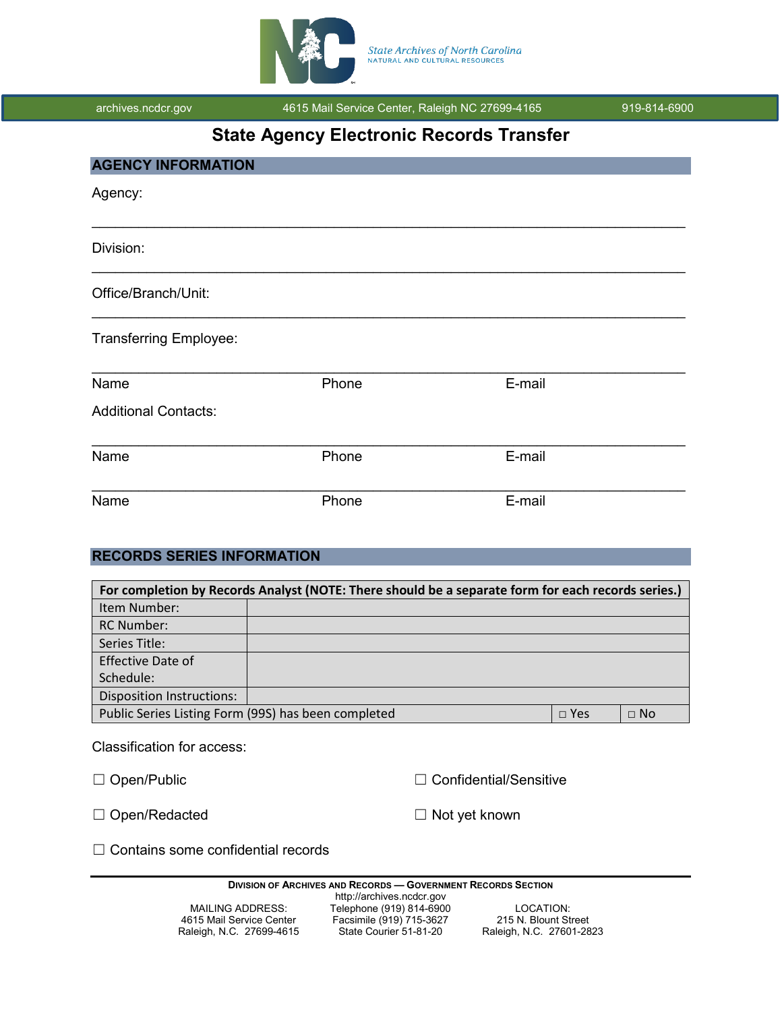

archives.ncdcr.gov **4615 Mail Service Center, Raleigh NC 27699-4165** 919-814-6900

# **State Agency Electronic Records Transfer**

| Phone | E-mail |  |
|-------|--------|--|
|       |        |  |
| Phone | E-mail |  |
| Phone | E-mail |  |
|       |        |  |

# **RECORDS SERIES INFORMATION**

| For completion by Records Analyst (NOTE: There should be a separate form for each records series.) |  |            |           |  |  |  |
|----------------------------------------------------------------------------------------------------|--|------------|-----------|--|--|--|
| Item Number:                                                                                       |  |            |           |  |  |  |
| <b>RC Number:</b>                                                                                  |  |            |           |  |  |  |
| Series Title:                                                                                      |  |            |           |  |  |  |
| Effective Date of                                                                                  |  |            |           |  |  |  |
| Schedule:                                                                                          |  |            |           |  |  |  |
| <b>Disposition Instructions:</b>                                                                   |  |            |           |  |  |  |
| Public Series Listing Form (99S) has been completed                                                |  | $\Box$ Yes | $\Box$ No |  |  |  |

Classification for access:

☐ Open/Public ☐ Confidential/Sensitive

□ Open/Redacted □ □ Not yet known

☐ Contains some confidential records

| <b>PRODUCT OF ABOUTFLY AND INLUSTED</b> |                           | <u>soveniment incoditud scotion</u> |
|-----------------------------------------|---------------------------|-------------------------------------|
|                                         | http://archives.ncdcr.gov |                                     |
| MAILING ADDRESS:                        | Telephone (919) 814-6900  | LOCATION:                           |
| 4615 Mail Service Center                | Facsimile (919) 715-3627  | 215 N. Blount Street                |
| Raleigh, N.C. 27699-4615                | State Courier 51-81-20    | Raleigh, N.C. 27601-2823            |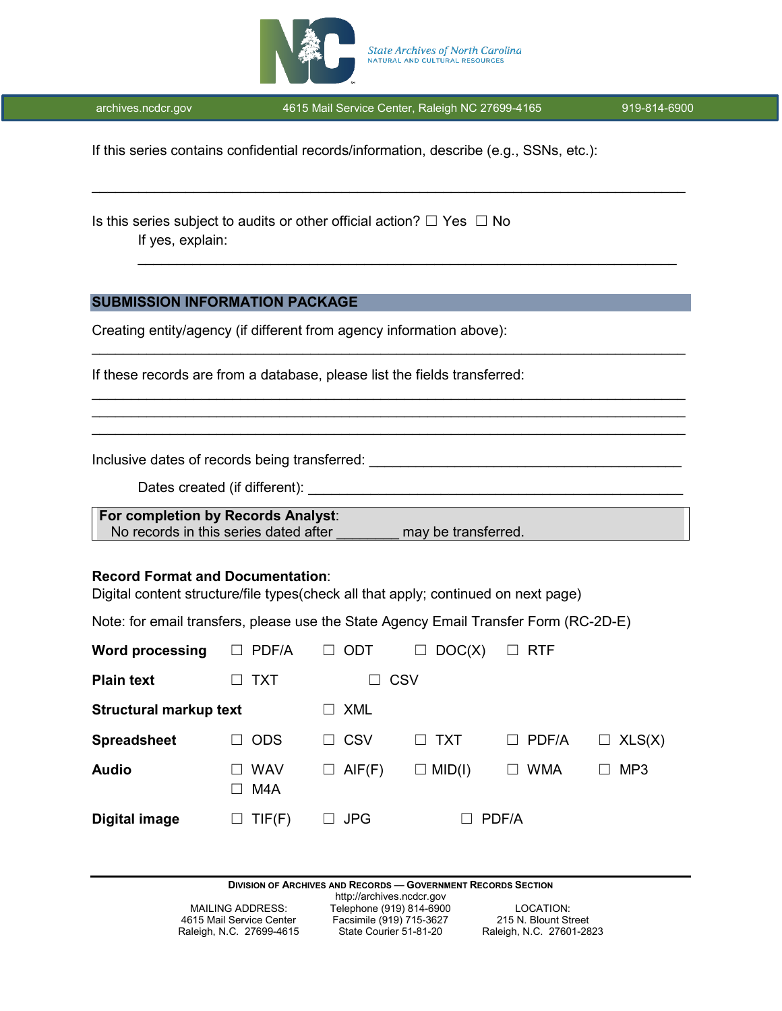

\_\_\_\_\_\_\_\_\_\_\_\_\_\_\_\_\_\_\_\_\_\_\_\_\_\_\_\_\_\_\_\_\_\_\_\_\_\_\_\_\_\_\_\_\_\_\_\_\_\_\_\_\_\_\_\_\_\_\_\_\_\_\_\_\_\_\_\_\_\_\_\_\_\_\_\_

\_\_\_\_\_\_\_\_\_\_\_\_\_\_\_\_\_\_\_\_\_\_\_\_\_\_\_\_\_\_\_\_\_\_\_\_\_\_\_\_\_\_\_\_\_\_\_\_\_\_\_\_\_\_\_\_\_\_\_\_\_\_\_\_\_\_\_\_\_\_\_\_\_\_\_\_

\_\_\_\_\_\_\_\_\_\_\_\_\_\_\_\_\_\_\_\_\_\_\_\_\_\_\_\_\_\_\_\_\_\_\_\_\_\_\_\_\_\_\_\_\_\_\_\_\_\_\_\_\_\_\_\_\_\_\_\_\_\_\_\_\_\_\_\_\_\_\_\_\_\_\_\_ \_\_\_\_\_\_\_\_\_\_\_\_\_\_\_\_\_\_\_\_\_\_\_\_\_\_\_\_\_\_\_\_\_\_\_\_\_\_\_\_\_\_\_\_\_\_\_\_\_\_\_\_\_\_\_\_\_\_\_\_\_\_\_\_\_\_\_\_\_\_\_\_\_\_\_\_ \_\_\_\_\_\_\_\_\_\_\_\_\_\_\_\_\_\_\_\_\_\_\_\_\_\_\_\_\_\_\_\_\_\_\_\_\_\_\_\_\_\_\_\_\_\_\_\_\_\_\_\_\_\_\_\_\_\_\_\_\_\_\_\_\_\_\_\_\_\_\_\_\_\_\_\_

\_\_\_\_\_\_\_\_\_\_\_\_\_\_\_\_\_\_\_\_\_\_\_\_\_\_\_\_\_\_\_\_\_\_\_\_\_\_\_\_\_\_\_\_\_\_\_\_\_\_\_\_\_\_\_\_\_\_\_\_\_\_\_\_\_\_\_\_\_

If this series contains confidential records/information, describe (e.g., SSNs, etc.):

Is this series subject to audits or other official action?  $\Box$  Yes  $\Box$  No If yes, explain:

### **SUBMISSION INFORMATION PACKAGE**

Creating entity/agency (if different from agency information above):

If these records are from a database, please list the fields transferred:

Inclusive dates of records being transferred: \_\_\_\_\_\_\_\_\_\_\_\_\_\_\_\_\_\_\_\_\_\_\_\_\_\_\_\_\_\_\_\_\_\_

Dates created (if different):

**For completion by Records Analyst**: No records in this series dated after **now may be transferred**.

### **Record Format and Documentation**:

Digital content structure/file types(check all that apply; continued on next page)

Note: for email transfers, please use the State Agency Email Transfer Form (RC-2D-E)

| <b>Word processing</b>        | PDF/A<br>- 1      | ODT<br>ப    | DOC(X)<br>⊔   | <b>RTF</b><br>$\Box$ |                 |
|-------------------------------|-------------------|-------------|---------------|----------------------|-----------------|
| <b>Plain text</b>             | TXT               |             | <b>CSV</b>    |                      |                 |
| <b>Structural markup text</b> |                   | <b>XML</b>  |               |                      |                 |
| <b>Spreadsheet</b>            | <b>ODS</b>        | CSV         | <b>TXT</b>    | PDF/A<br>$\Box$      | $\Box$ XLS(X)   |
| <b>Audio</b>                  | <b>WAV</b><br>M4A | AIF(F)<br>ப | $\Box$ MID(I) | <b>WMA</b>           | MP <sub>3</sub> |
| <b>Digital image</b>          | TIF(F)            | <b>JPG</b>  |               | PDF/A                |                 |

**DIVISION OF ARCHIVES AND RECORDS — GOVERNMENT RECORDS SECTION**

Raleigh, N.C. 27699-4615

http://archives.ncdcr.gov MAILING ADDRESS: Telephone (919) 814-6900 LOCATION:<br>4615 Mail Service Center Facsimile (919) 715-3627 215 N. Blount Street

Facsimile (919) 715-3627 215 N. Blount Street<br>
State Courier 51-81-20 Raleigh, N.C. 27601-2823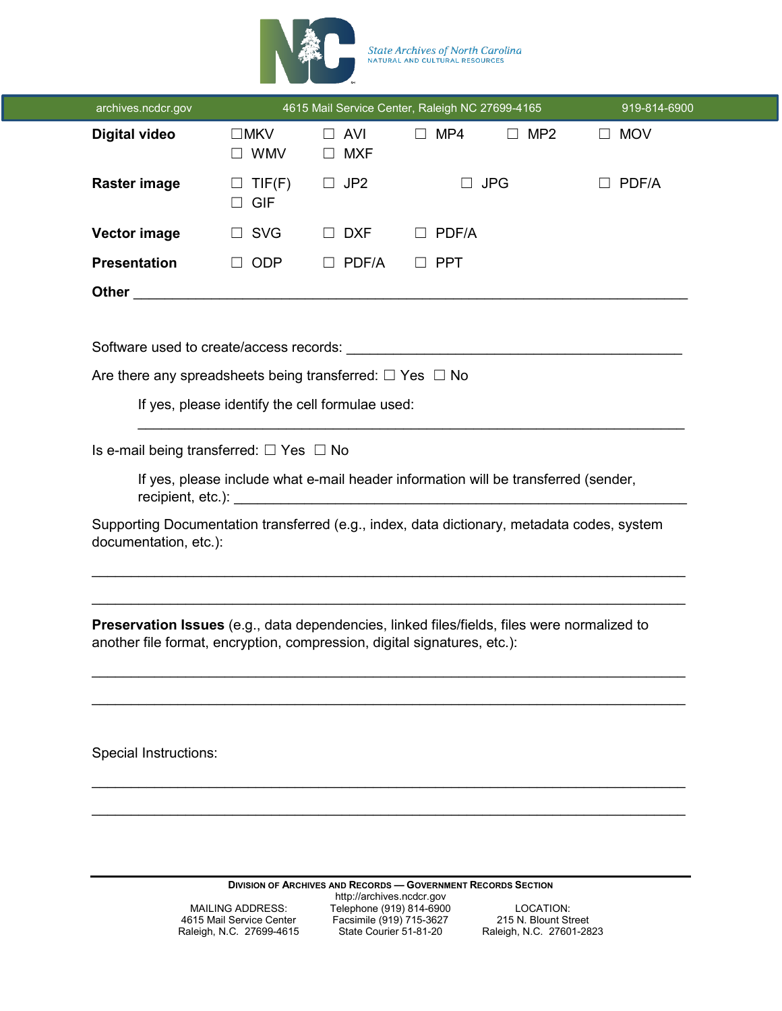

State Archives of North Carolina<br>NATURAL AND CULTURAL RESOURCES

| <b>Digital video</b><br>$\Box$ MKV<br>$\Box$ AVI<br>$\Box$ MP4<br>$\Box$ MP2<br>$\Box$ MOV<br>$\Box$ WMV<br><b>MXF</b><br>$\Box$<br><b>Raster image</b><br>JP <sub>2</sub><br>$\Box$ JPG<br>TIF(F)<br>$\Box$<br><b>GIF</b><br>$\Box$ SVG<br><b>Vector image</b><br>$\Box$ DXF<br>$\Box$ PDF/A<br><b>Presentation</b><br><b>ODP</b><br>$\Box$ PDF/A<br>$\Box$ PPT<br>$\Box$<br>Are there any spreadsheets being transferred: $\Box$ Yes $\Box$ No<br>If yes, please identify the cell formulae used:<br>Is e-mail being transferred: $\Box$ Yes $\Box$ No<br>If yes, please include what e-mail header information will be transferred (sender,<br>Supporting Documentation transferred (e.g., index, data dictionary, metadata codes, system<br>documentation, etc.):<br><b>Preservation Issues</b> (e.g., data dependencies, linked files/fields, files were normalized to<br>another file format, encryption, compression, digital signatures, etc.):<br><b>Special Instructions:</b> | 919-814-6900 |  |  | 4615 Mail Service Center, Raleigh NC 27699-4165 |  | archives.ncdcr.gov |
|-----------------------------------------------------------------------------------------------------------------------------------------------------------------------------------------------------------------------------------------------------------------------------------------------------------------------------------------------------------------------------------------------------------------------------------------------------------------------------------------------------------------------------------------------------------------------------------------------------------------------------------------------------------------------------------------------------------------------------------------------------------------------------------------------------------------------------------------------------------------------------------------------------------------------------------------------------------------------------------------|--------------|--|--|-------------------------------------------------|--|--------------------|
|                                                                                                                                                                                                                                                                                                                                                                                                                                                                                                                                                                                                                                                                                                                                                                                                                                                                                                                                                                                         |              |  |  |                                                 |  |                    |
|                                                                                                                                                                                                                                                                                                                                                                                                                                                                                                                                                                                                                                                                                                                                                                                                                                                                                                                                                                                         | PDF/A        |  |  |                                                 |  |                    |
|                                                                                                                                                                                                                                                                                                                                                                                                                                                                                                                                                                                                                                                                                                                                                                                                                                                                                                                                                                                         |              |  |  |                                                 |  |                    |
|                                                                                                                                                                                                                                                                                                                                                                                                                                                                                                                                                                                                                                                                                                                                                                                                                                                                                                                                                                                         |              |  |  |                                                 |  |                    |
|                                                                                                                                                                                                                                                                                                                                                                                                                                                                                                                                                                                                                                                                                                                                                                                                                                                                                                                                                                                         |              |  |  |                                                 |  |                    |
|                                                                                                                                                                                                                                                                                                                                                                                                                                                                                                                                                                                                                                                                                                                                                                                                                                                                                                                                                                                         |              |  |  |                                                 |  |                    |
|                                                                                                                                                                                                                                                                                                                                                                                                                                                                                                                                                                                                                                                                                                                                                                                                                                                                                                                                                                                         |              |  |  |                                                 |  |                    |
|                                                                                                                                                                                                                                                                                                                                                                                                                                                                                                                                                                                                                                                                                                                                                                                                                                                                                                                                                                                         |              |  |  |                                                 |  |                    |
|                                                                                                                                                                                                                                                                                                                                                                                                                                                                                                                                                                                                                                                                                                                                                                                                                                                                                                                                                                                         |              |  |  |                                                 |  |                    |
|                                                                                                                                                                                                                                                                                                                                                                                                                                                                                                                                                                                                                                                                                                                                                                                                                                                                                                                                                                                         |              |  |  |                                                 |  |                    |
|                                                                                                                                                                                                                                                                                                                                                                                                                                                                                                                                                                                                                                                                                                                                                                                                                                                                                                                                                                                         |              |  |  |                                                 |  |                    |
|                                                                                                                                                                                                                                                                                                                                                                                                                                                                                                                                                                                                                                                                                                                                                                                                                                                                                                                                                                                         |              |  |  |                                                 |  |                    |
|                                                                                                                                                                                                                                                                                                                                                                                                                                                                                                                                                                                                                                                                                                                                                                                                                                                                                                                                                                                         |              |  |  |                                                 |  |                    |
|                                                                                                                                                                                                                                                                                                                                                                                                                                                                                                                                                                                                                                                                                                                                                                                                                                                                                                                                                                                         |              |  |  |                                                 |  |                    |
|                                                                                                                                                                                                                                                                                                                                                                                                                                                                                                                                                                                                                                                                                                                                                                                                                                                                                                                                                                                         |              |  |  |                                                 |  |                    |
|                                                                                                                                                                                                                                                                                                                                                                                                                                                                                                                                                                                                                                                                                                                                                                                                                                                                                                                                                                                         |              |  |  |                                                 |  |                    |
|                                                                                                                                                                                                                                                                                                                                                                                                                                                                                                                                                                                                                                                                                                                                                                                                                                                                                                                                                                                         |              |  |  |                                                 |  |                    |
|                                                                                                                                                                                                                                                                                                                                                                                                                                                                                                                                                                                                                                                                                                                                                                                                                                                                                                                                                                                         |              |  |  |                                                 |  |                    |
|                                                                                                                                                                                                                                                                                                                                                                                                                                                                                                                                                                                                                                                                                                                                                                                                                                                                                                                                                                                         |              |  |  |                                                 |  |                    |
|                                                                                                                                                                                                                                                                                                                                                                                                                                                                                                                                                                                                                                                                                                                                                                                                                                                                                                                                                                                         |              |  |  |                                                 |  |                    |
|                                                                                                                                                                                                                                                                                                                                                                                                                                                                                                                                                                                                                                                                                                                                                                                                                                                                                                                                                                                         |              |  |  |                                                 |  |                    |
|                                                                                                                                                                                                                                                                                                                                                                                                                                                                                                                                                                                                                                                                                                                                                                                                                                                                                                                                                                                         |              |  |  |                                                 |  |                    |

**DIVISION OF ARCHIVES AND RECORDS — GOVERNMENT RECORDS SECTION**

http://archives.ncdcr.gov MAILING ADDRESS: Telephone (919) 814-6900 LOCATION: 4615 Mail Service Center Facsimile (919) 715-3627 215 N. Blount Street

MAILING ADDRESS:<br>
4615 Mail Service Center<br>
Raleigh, N.C. 27699-4615<br>
Raleigh, N.C. 27699-4615<br>
State Courier 51-81-20<br>
Raleigh, N.C. 27601-2823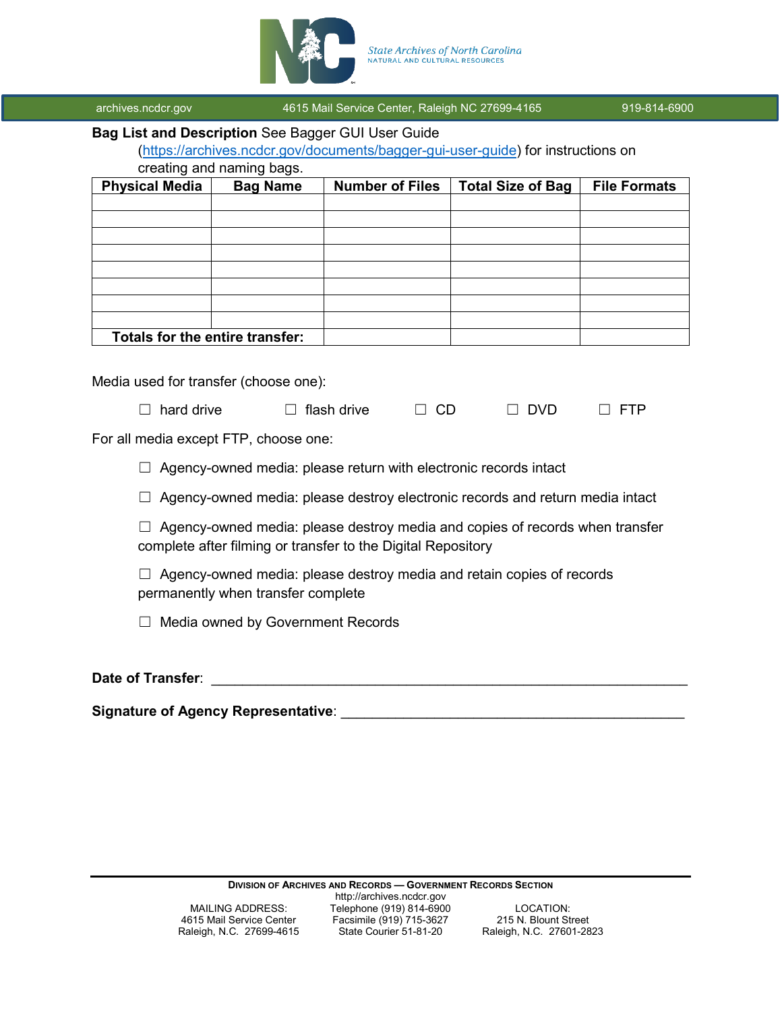

# **Bag List and Description** See Bagger GUI User Guide

[\(https://archives.ncdcr.gov/documents/bagger-gui-user-guide\)](https://archives.ncdcr.gov/documents/bagger-gui-user-guide) for instructions on

creating and naming bags.

| <b>Physical Media</b>           | <b>Bag Name</b> | <b>Number of Files</b> | <b>Total Size of Bag</b> | <b>File Formats</b> |
|---------------------------------|-----------------|------------------------|--------------------------|---------------------|
|                                 |                 |                        |                          |                     |
|                                 |                 |                        |                          |                     |
|                                 |                 |                        |                          |                     |
|                                 |                 |                        |                          |                     |
|                                 |                 |                        |                          |                     |
|                                 |                 |                        |                          |                     |
|                                 |                 |                        |                          |                     |
|                                 |                 |                        |                          |                     |
| Totals for the entire transfer: |                 |                        |                          |                     |

Media used for transfer (choose one):

| $\Box$ flash drive<br>$\Box$ hard drive | $\Box$ CD | $\Box$ DVD | $\Box$ FTP |
|-----------------------------------------|-----------|------------|------------|
|-----------------------------------------|-----------|------------|------------|

For all media except FTP, choose one:

 $\Box$  Agency-owned media: please return with electronic records intact

 $\Box$  Agency-owned media: please destroy electronic records and return media intact

 $\Box$  Agency-owned media: please destroy media and copies of records when transfer complete after filming or transfer to the Digital Repository

 $\Box$  Agency-owned media: please destroy media and retain copies of records permanently when transfer complete

☐ Media owned by Government Records

**Date of Transfer**: \_\_\_\_\_\_\_\_\_\_\_\_\_\_\_\_\_\_\_\_\_\_\_\_\_\_\_\_\_\_\_\_\_\_\_\_\_\_\_\_\_\_\_\_\_\_\_\_\_\_\_\_\_\_\_\_\_\_\_\_\_

**Signature of Agency Representative:** 

**DIVISION OF ARCHIVES AND RECORDS — GOVERNMENT RECORDS SECTION**

Raleigh, N.C. 27699-4615

http://archives.ncdcr.gov MAILING ADDRESS: Telephone (919) 814-6900 LOCATION:<br>4615 Mail Service Center Facsimile (919) 715-3627 215 N. Blount Street

Facsimile (919) 715-3627 215 N. Blount Street<br>State Courier 51-81-20 Raleigh, N.C. 27601-2823